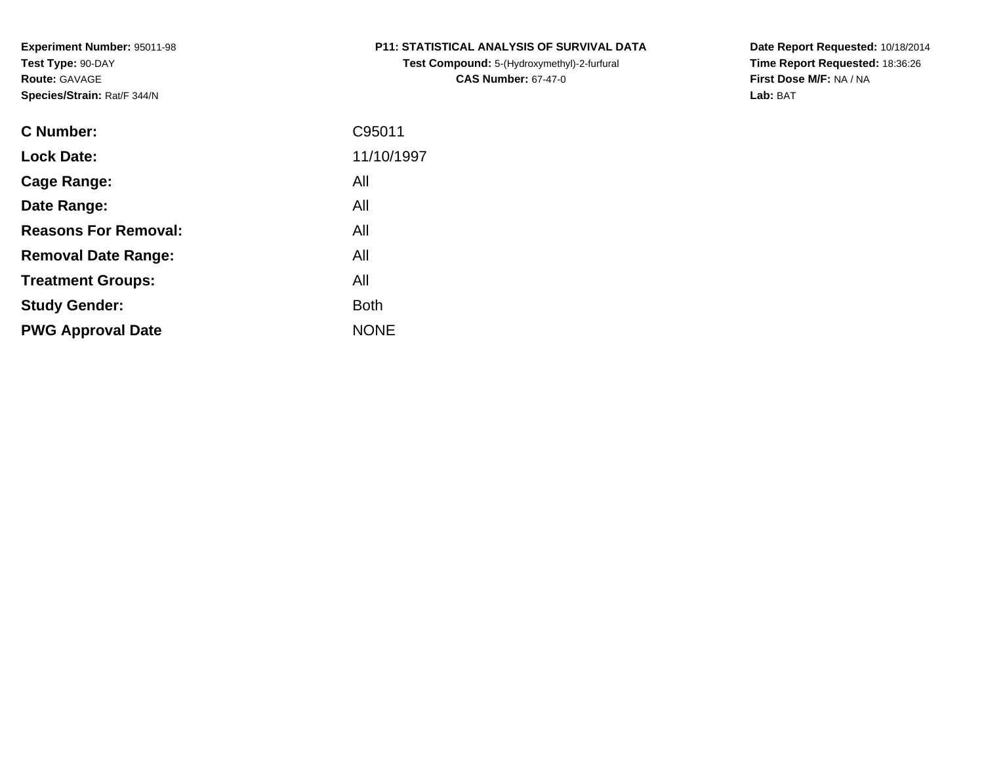**Test Compound:** 5-(Hydroxymethyl)-2-furfural **CAS Number:** 67-47-0

**Date Report Requested:** 10/18/2014 **Time Report Requested:** 18:36:26**First Dose M/F:** NA / NA**Lab:** BAT

| <b>C</b> Number:            | C95011      |
|-----------------------------|-------------|
| <b>Lock Date:</b>           | 11/10/1997  |
| Cage Range:                 | All         |
| Date Range:                 | All         |
| <b>Reasons For Removal:</b> | All         |
| <b>Removal Date Range:</b>  | All         |
| <b>Treatment Groups:</b>    | All         |
| <b>Study Gender:</b>        | <b>Both</b> |
| <b>PWG Approval Date</b>    | <b>NONE</b> |
|                             |             |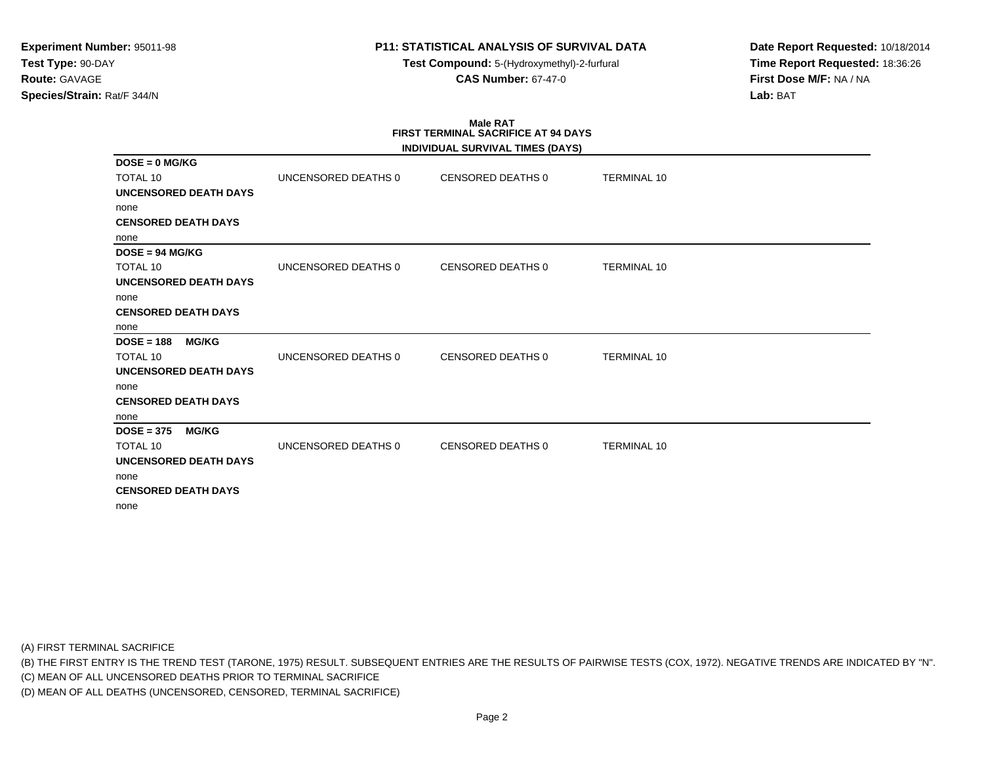**Test Compound:** 5-(Hydroxymethyl)-2-furfural **CAS Number:** 67-47-0

**Date Report Requested:** 10/18/2014**Time Report Requested:** 18:36:26**First Dose M/F:** NA / NA**Lab:** BAT

# **Male RATFIRST TERMINAL SACRIFICE AT 94 DAYS**

|                              |                     | INDIVIDUAL SURVIVAL TIMES (DAYS) |                    |
|------------------------------|---------------------|----------------------------------|--------------------|
| $DOSE = 0$ MG/KG             |                     |                                  |                    |
| <b>TOTAL 10</b>              | UNCENSORED DEATHS 0 | CENSORED DEATHS 0                | <b>TERMINAL 10</b> |
| <b>UNCENSORED DEATH DAYS</b> |                     |                                  |                    |
| none                         |                     |                                  |                    |
| <b>CENSORED DEATH DAYS</b>   |                     |                                  |                    |
| none                         |                     |                                  |                    |
| $DOSE = 94 MGI/KG$           |                     |                                  |                    |
| <b>TOTAL 10</b>              | UNCENSORED DEATHS 0 | CENSORED DEATHS 0                | <b>TERMINAL 10</b> |
| <b>UNCENSORED DEATH DAYS</b> |                     |                                  |                    |
| none                         |                     |                                  |                    |
| <b>CENSORED DEATH DAYS</b>   |                     |                                  |                    |
| none                         |                     |                                  |                    |
| $DOSE = 188$<br><b>MG/KG</b> |                     |                                  |                    |
| <b>TOTAL 10</b>              | UNCENSORED DEATHS 0 | <b>CENSORED DEATHS 0</b>         | <b>TERMINAL 10</b> |
| UNCENSORED DEATH DAYS        |                     |                                  |                    |
| none                         |                     |                                  |                    |
| <b>CENSORED DEATH DAYS</b>   |                     |                                  |                    |
| none                         |                     |                                  |                    |
| $DOSE = 375$<br><b>MG/KG</b> |                     |                                  |                    |
| <b>TOTAL 10</b>              | UNCENSORED DEATHS 0 | <b>CENSORED DEATHS 0</b>         | <b>TERMINAL 10</b> |
| <b>UNCENSORED DEATH DAYS</b> |                     |                                  |                    |
| none                         |                     |                                  |                    |
| <b>CENSORED DEATH DAYS</b>   |                     |                                  |                    |
| none                         |                     |                                  |                    |

(A) FIRST TERMINAL SACRIFICE

(B) THE FIRST ENTRY IS THE TREND TEST (TARONE, 1975) RESULT. SUBSEQUENT ENTRIES ARE THE RESULTS OF PAIRWISE TESTS (COX, 1972). NEGATIVE TRENDS ARE INDICATED BY "N".

(C) MEAN OF ALL UNCENSORED DEATHS PRIOR TO TERMINAL SACRIFICE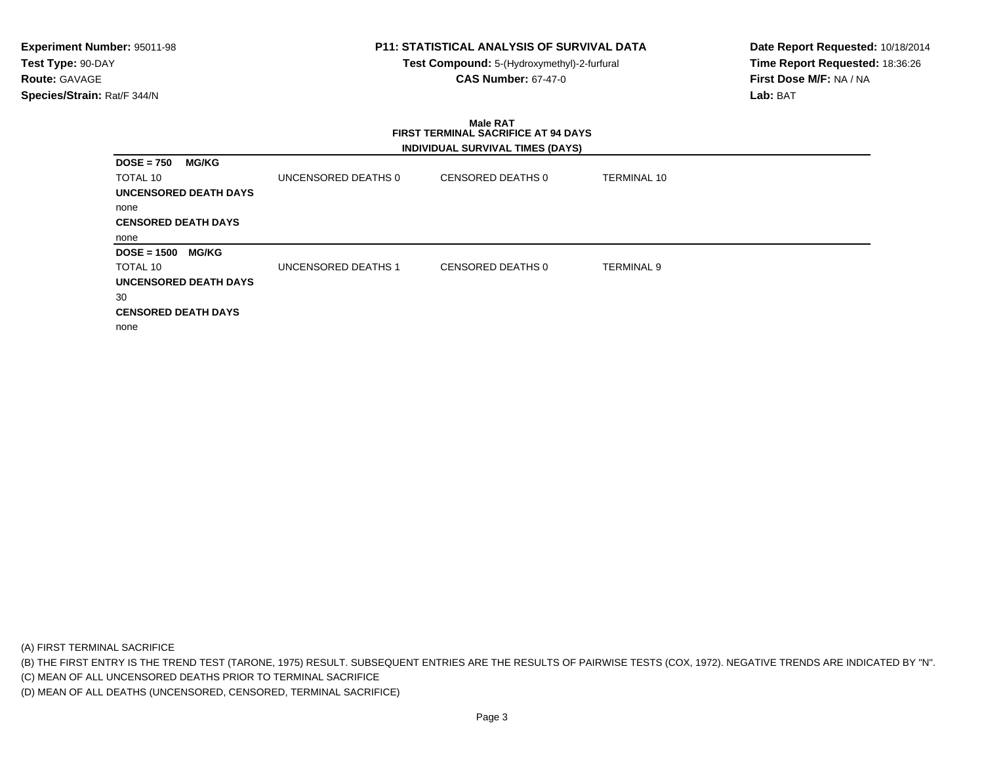**Test Compound:** 5-(Hydroxymethyl)-2-furfural **CAS Number:** 67-47-0

**Date Report Requested:** 10/18/2014**Time Report Requested:** 18:36:26**First Dose M/F:** NA / NA**Lab:** BAT

#### **Male RAT FIRST TERMINAL SACRIFICE AT 94 DAYSINDIVIDUAL SURVIVAL TIMES (DAYS)**

| <b>MG/KG</b><br>$DOSE = 750$  |                     |                   |                    |  |
|-------------------------------|---------------------|-------------------|--------------------|--|
| TOTAL 10                      | UNCENSORED DEATHS 0 | CENSORED DEATHS 0 | <b>TERMINAL 10</b> |  |
| UNCENSORED DEATH DAYS         |                     |                   |                    |  |
| none                          |                     |                   |                    |  |
| <b>CENSORED DEATH DAYS</b>    |                     |                   |                    |  |
| none                          |                     |                   |                    |  |
| <b>MG/KG</b><br>$DOSE = 1500$ |                     |                   |                    |  |
| TOTAL 10                      | UNCENSORED DEATHS 1 | CENSORED DEATHS 0 | <b>TERMINAL 9</b>  |  |
| <b>UNCENSORED DEATH DAYS</b>  |                     |                   |                    |  |
| 30                            |                     |                   |                    |  |
| <b>CENSORED DEATH DAYS</b>    |                     |                   |                    |  |
| none                          |                     |                   |                    |  |

(A) FIRST TERMINAL SACRIFICE

(B) THE FIRST ENTRY IS THE TREND TEST (TARONE, 1975) RESULT. SUBSEQUENT ENTRIES ARE THE RESULTS OF PAIRWISE TESTS (COX, 1972). NEGATIVE TRENDS ARE INDICATED BY "N".

(C) MEAN OF ALL UNCENSORED DEATHS PRIOR TO TERMINAL SACRIFICE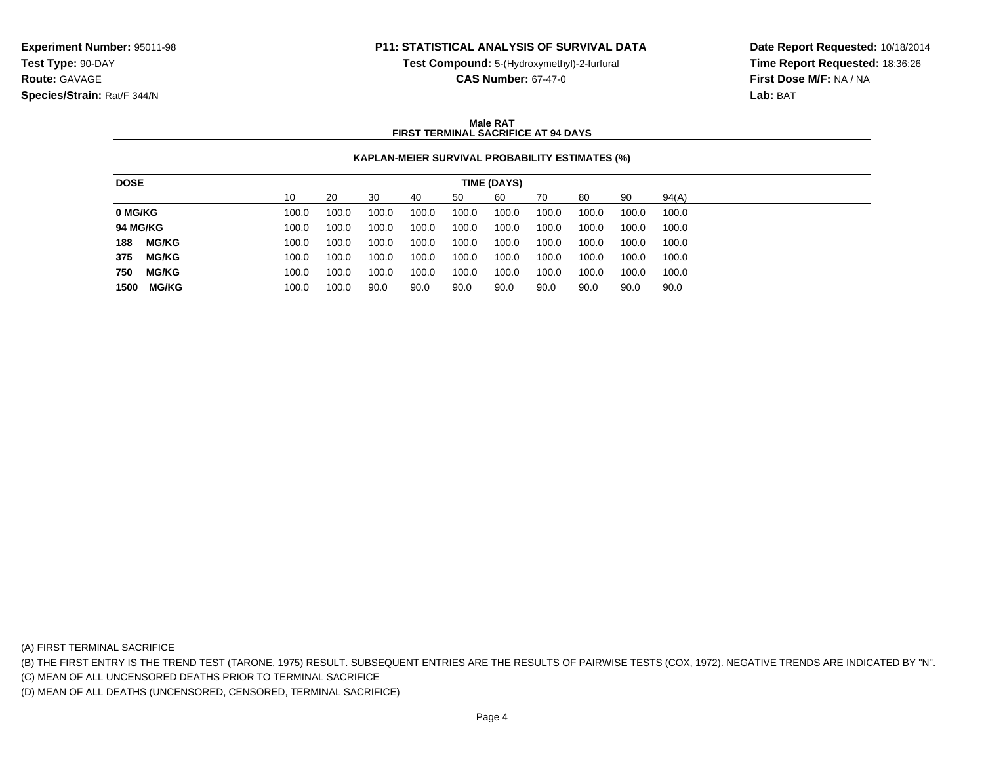**Test Compound:** 5-(Hydroxymethyl)-2-furfural

**CAS Number:** 67-47-0

**Date Report Requested:** 10/18/2014**Time Report Requested:** 18:36:26**First Dose M/F:** NA / NA**Lab:** BAT

### **Male RATFIRST TERMINAL SACRIFICE AT 94 DAYS**

## **KAPLAN-MEIER SURVIVAL PROBABILITY ESTIMATES (%)**

| 30<br>60<br>90<br>94(A)<br>10<br>20<br>50<br>70<br>80<br>40<br>100.0<br>100.0<br>100.0<br>100.0<br>100.0<br>100.0<br>100.0<br>100.0<br>100.0<br>100.0 |
|-------------------------------------------------------------------------------------------------------------------------------------------------------|
| 0 MG/KG                                                                                                                                               |
|                                                                                                                                                       |
| <b>94 MG/KG</b><br>100.0<br>100.0<br>100.0<br>100.0<br>100.0<br>100.0<br>100.0<br>100.0<br>100.0<br>100.0                                             |
| <b>MG/KG</b><br>188<br>100.0<br>100.0<br>100.0<br>100.0<br>100.0<br>100.0<br>100.0<br>100.0<br>100.0<br>100.0                                         |
| <b>MG/KG</b><br>375<br>100.0<br>100.0<br>100.0<br>100.0<br>100.0<br>100.0<br>100.0<br>100.0<br>100.0<br>100.0                                         |
| <b>MG/KG</b><br>750<br>100.0<br>100.0<br>100.0<br>100.0<br>100.0<br>100.0<br>100.0<br>100.0<br>100.0<br>100.0                                         |
| MG/KG<br>90.0<br>1500<br>100.0<br>90.0<br>90.0<br>90.0<br>90.0<br>100.0<br>90.0<br>90.0<br>90.0                                                       |

(A) FIRST TERMINAL SACRIFICE

(B) THE FIRST ENTRY IS THE TREND TEST (TARONE, 1975) RESULT. SUBSEQUENT ENTRIES ARE THE RESULTS OF PAIRWISE TESTS (COX, 1972). NEGATIVE TRENDS ARE INDICATED BY "N".

(C) MEAN OF ALL UNCENSORED DEATHS PRIOR TO TERMINAL SACRIFICE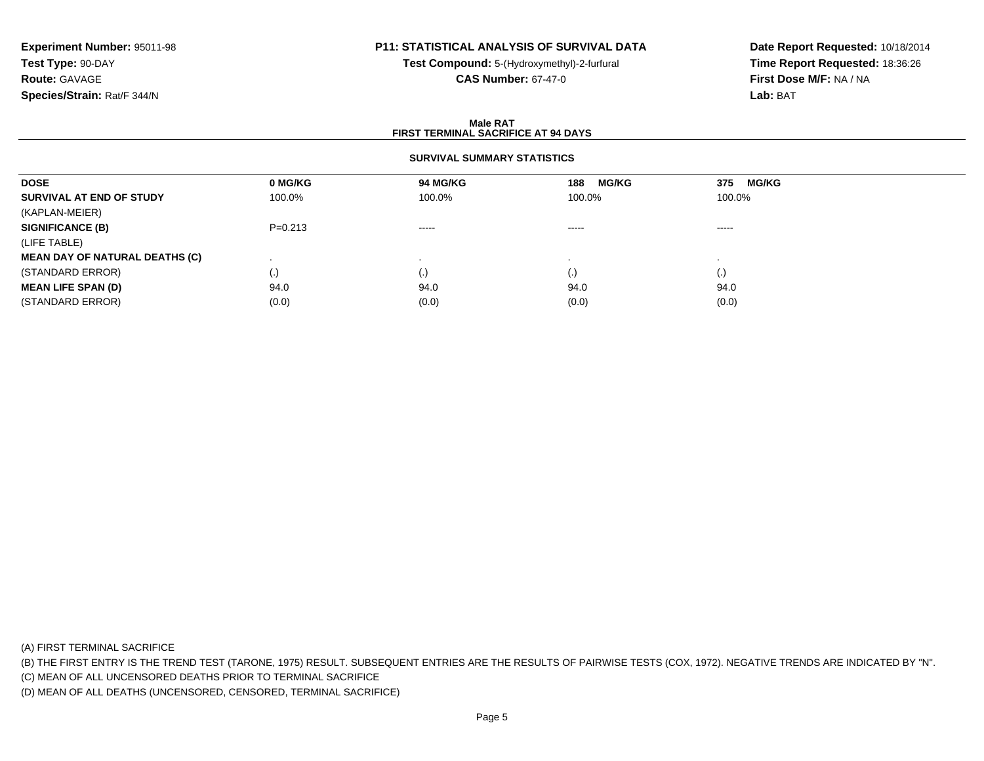# **P11: STATISTICAL ANALYSIS OF SURVIVAL DATA**

**Test Compound:** 5-(Hydroxymethyl)-2-furfural **CAS Number:** 67-47-0

**Date Report Requested:** 10/18/2014**Time Report Requested:** 18:36:26**First Dose M/F:** NA / NA**Lab:** BAT

### **Male RATFIRST TERMINAL SACRIFICE AT 94 DAYS**

### **SURVIVAL SUMMARY STATISTICS**

| <b>DOSE</b>                           | 0 MG/KG     | 94 MG/KG                                                                                                                                                                                                                                                                                                                                                                                                                                                                               | <b>MG/KG</b><br>188 | <b>MG/KG</b><br>375 |  |
|---------------------------------------|-------------|----------------------------------------------------------------------------------------------------------------------------------------------------------------------------------------------------------------------------------------------------------------------------------------------------------------------------------------------------------------------------------------------------------------------------------------------------------------------------------------|---------------------|---------------------|--|
| SURVIVAL AT END OF STUDY              | 100.0%      | 100.0%                                                                                                                                                                                                                                                                                                                                                                                                                                                                                 | 100.0%              | 100.0%              |  |
| (KAPLAN-MEIER)                        |             |                                                                                                                                                                                                                                                                                                                                                                                                                                                                                        |                     |                     |  |
| <b>SIGNIFICANCE (B)</b>               | $P = 0.213$ | $\begin{array}{cccccccccccccc} \multicolumn{2}{c}{} & \multicolumn{2}{c}{} & \multicolumn{2}{c}{} & \multicolumn{2}{c}{} & \multicolumn{2}{c}{} & \multicolumn{2}{c}{} & \multicolumn{2}{c}{} & \multicolumn{2}{c}{} & \multicolumn{2}{c}{} & \multicolumn{2}{c}{} & \multicolumn{2}{c}{} & \multicolumn{2}{c}{} & \multicolumn{2}{c}{} & \multicolumn{2}{c}{} & \multicolumn{2}{c}{} & \multicolumn{2}{c}{} & \multicolumn{2}{c}{} & \multicolumn{2}{c}{} & \multicolumn{2}{c}{} & \$ | $\cdots$            | -----               |  |
| (LIFE TABLE)                          |             |                                                                                                                                                                                                                                                                                                                                                                                                                                                                                        |                     |                     |  |
| <b>MEAN DAY OF NATURAL DEATHS (C)</b> |             |                                                                                                                                                                                                                                                                                                                                                                                                                                                                                        |                     |                     |  |
| (STANDARD ERROR)                      | (.)         |                                                                                                                                                                                                                                                                                                                                                                                                                                                                                        | $\left( . \right)$  | (.)                 |  |
| <b>MEAN LIFE SPAN (D)</b>             | 94.0        | 94.0                                                                                                                                                                                                                                                                                                                                                                                                                                                                                   | 94.0                | 94.0                |  |
| (STANDARD ERROR)                      | (0.0)       | (0.0)                                                                                                                                                                                                                                                                                                                                                                                                                                                                                  | (0.0)               | (0.0)               |  |

(A) FIRST TERMINAL SACRIFICE

(B) THE FIRST ENTRY IS THE TREND TEST (TARONE, 1975) RESULT. SUBSEQUENT ENTRIES ARE THE RESULTS OF PAIRWISE TESTS (COX, 1972). NEGATIVE TRENDS ARE INDICATED BY "N".

(C) MEAN OF ALL UNCENSORED DEATHS PRIOR TO TERMINAL SACRIFICE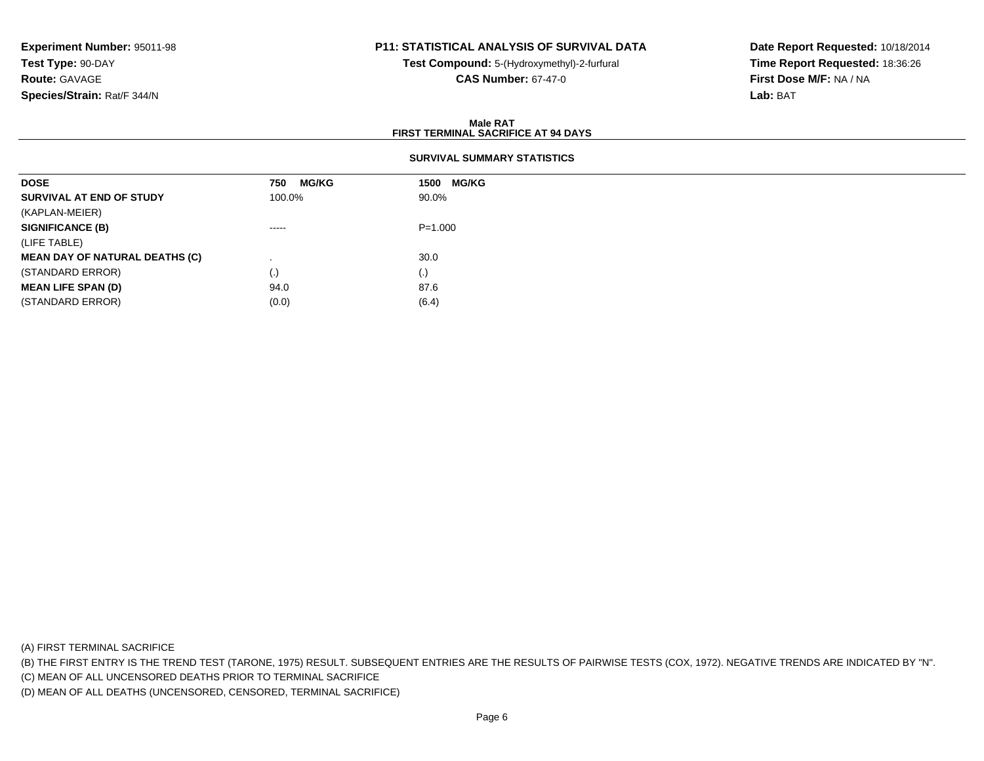# **P11: STATISTICAL ANALYSIS OF SURVIVAL DATA**

**Test Compound:** 5-(Hydroxymethyl)-2-furfural **CAS Number:** 67-47-0

**Date Report Requested:** 10/18/2014**Time Report Requested:** 18:36:26**First Dose M/F:** NA / NA**Lab:** BAT

### **Male RATFIRST TERMINAL SACRIFICE AT 94 DAYS**

## **SURVIVAL SUMMARY STATISTICS**

| <b>DOSE</b>                           | <b>MG/KG</b><br>750 | 1500 MG/KG  |
|---------------------------------------|---------------------|-------------|
| SURVIVAL AT END OF STUDY              | 100.0%              | 90.0%       |
| (KAPLAN-MEIER)                        |                     |             |
| <b>SIGNIFICANCE (B)</b>               | -----               | $P = 1.000$ |
| (LIFE TABLE)                          |                     |             |
| <b>MEAN DAY OF NATURAL DEATHS (C)</b> |                     | 30.0        |
| (STANDARD ERROR)                      | $\left( . \right)$  | (.)         |
| <b>MEAN LIFE SPAN (D)</b>             | 94.0                | 87.6        |
| (STANDARD ERROR)                      | (0.0)               | (6.4)       |

(A) FIRST TERMINAL SACRIFICE

(B) THE FIRST ENTRY IS THE TREND TEST (TARONE, 1975) RESULT. SUBSEQUENT ENTRIES ARE THE RESULTS OF PAIRWISE TESTS (COX, 1972). NEGATIVE TRENDS ARE INDICATED BY "N".

(C) MEAN OF ALL UNCENSORED DEATHS PRIOR TO TERMINAL SACRIFICE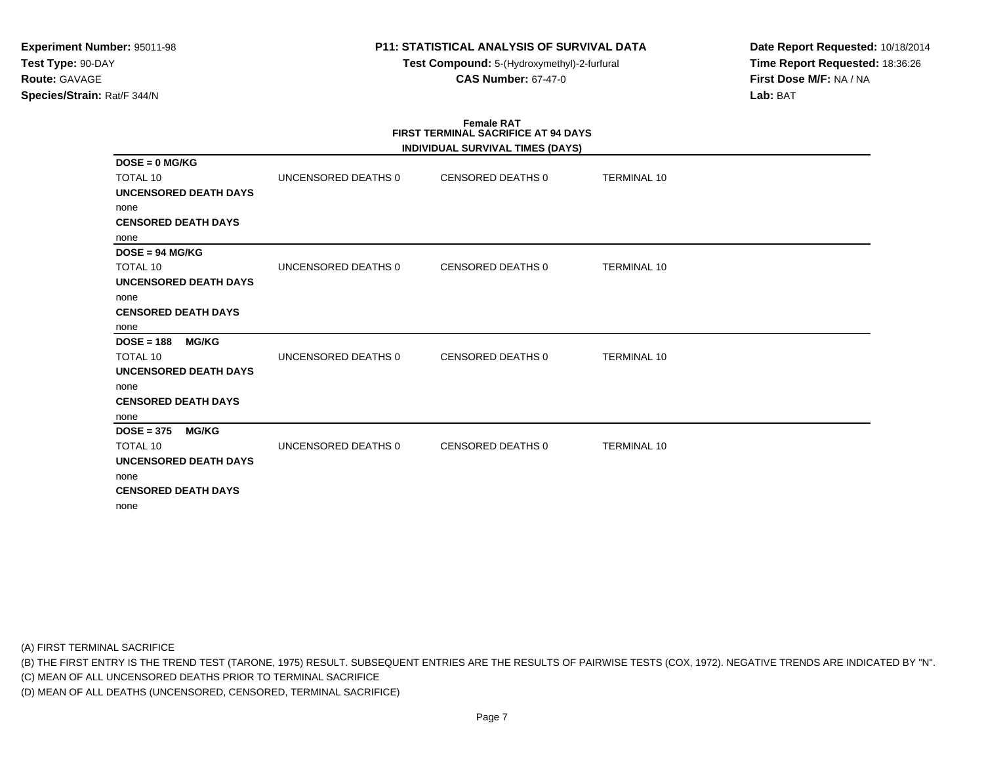**Test Compound:** 5-(Hydroxymethyl)-2-furfural **CAS Number:** 67-47-0

**Date Report Requested:** 10/18/2014**Time Report Requested:** 18:36:26**First Dose M/F:** NA / NA**Lab:** BAT

# **Female RATFIRST TERMINAL SACRIFICE AT 94 DAYS**

|                              |                     | INDIVIDUAL SURVIVAL TIMES (DAYS) |                    |  |
|------------------------------|---------------------|----------------------------------|--------------------|--|
| $DOSE = 0$ MG/KG             |                     |                                  |                    |  |
| <b>TOTAL 10</b>              | UNCENSORED DEATHS 0 | CENSORED DEATHS 0                | <b>TERMINAL 10</b> |  |
| <b>UNCENSORED DEATH DAYS</b> |                     |                                  |                    |  |
| none                         |                     |                                  |                    |  |
| <b>CENSORED DEATH DAYS</b>   |                     |                                  |                    |  |
| none                         |                     |                                  |                    |  |
| $DOSE = 94 MGI/KG$           |                     |                                  |                    |  |
| <b>TOTAL 10</b>              | UNCENSORED DEATHS 0 | CENSORED DEATHS 0                | <b>TERMINAL 10</b> |  |
| <b>UNCENSORED DEATH DAYS</b> |                     |                                  |                    |  |
| none                         |                     |                                  |                    |  |
| <b>CENSORED DEATH DAYS</b>   |                     |                                  |                    |  |
| none                         |                     |                                  |                    |  |
| $DOSE = 188$<br><b>MG/KG</b> |                     |                                  |                    |  |
| <b>TOTAL 10</b>              | UNCENSORED DEATHS 0 | CENSORED DEATHS 0                | <b>TERMINAL 10</b> |  |
| <b>UNCENSORED DEATH DAYS</b> |                     |                                  |                    |  |
| none                         |                     |                                  |                    |  |
| <b>CENSORED DEATH DAYS</b>   |                     |                                  |                    |  |
| none                         |                     |                                  |                    |  |
| $DOSE = 375$<br><b>MG/KG</b> |                     |                                  |                    |  |
| <b>TOTAL 10</b>              | UNCENSORED DEATHS 0 | CENSORED DEATHS 0                | <b>TERMINAL 10</b> |  |
| UNCENSORED DEATH DAYS        |                     |                                  |                    |  |
| none                         |                     |                                  |                    |  |
| <b>CENSORED DEATH DAYS</b>   |                     |                                  |                    |  |
| none                         |                     |                                  |                    |  |

(A) FIRST TERMINAL SACRIFICE

(B) THE FIRST ENTRY IS THE TREND TEST (TARONE, 1975) RESULT. SUBSEQUENT ENTRIES ARE THE RESULTS OF PAIRWISE TESTS (COX, 1972). NEGATIVE TRENDS ARE INDICATED BY "N".

(C) MEAN OF ALL UNCENSORED DEATHS PRIOR TO TERMINAL SACRIFICE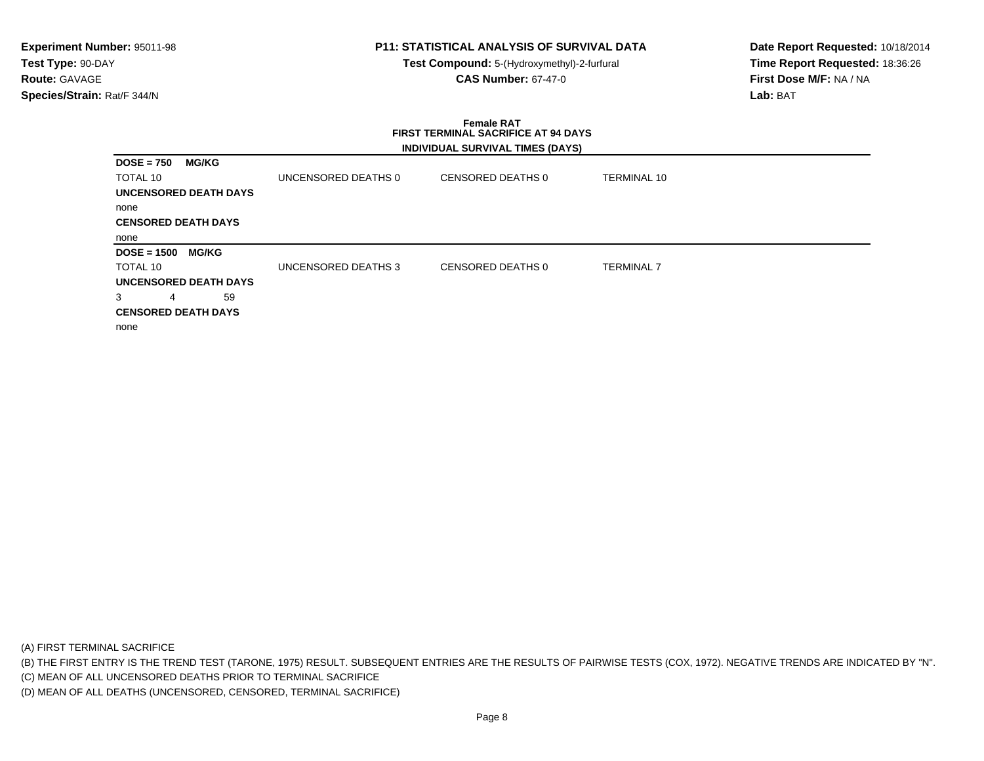**Test Compound:** 5-(Hydroxymethyl)-2-furfural **CAS Number:** 67-47-0

**Date Report Requested:** 10/18/2014**Time Report Requested:** 18:36:26**First Dose M/F:** NA / NA**Lab:** BAT

### **Female RAT FIRST TERMINAL SACRIFICE AT 94 DAYSINDIVIDUAL SURVIVAL TIMES (DAYS)**

| <b>DOSE = 750</b><br><b>MG/KG</b>                                                                    |                     |                   |                   |
|------------------------------------------------------------------------------------------------------|---------------------|-------------------|-------------------|
| TOTAL 10                                                                                             | UNCENSORED DEATHS 0 | CENSORED DEATHS 0 | TERMINAL 10       |
| <b>UNCENSORED DEATH DAYS</b>                                                                         |                     |                   |                   |
| none                                                                                                 |                     |                   |                   |
| <b>CENSORED DEATH DAYS</b>                                                                           |                     |                   |                   |
| none                                                                                                 |                     |                   |                   |
|                                                                                                      |                     |                   |                   |
| <b>MG/KG</b>                                                                                         |                     |                   |                   |
|                                                                                                      | UNCENSORED DEATHS 3 | CENSORED DEATHS 0 | <b>TERMINAL 7</b> |
|                                                                                                      |                     |                   |                   |
| 59<br>4                                                                                              |                     |                   |                   |
|                                                                                                      |                     |                   |                   |
| <b>DOSE = 1500</b><br>TOTAL 10<br><b>UNCENSORED DEATH DAYS</b><br><b>CENSORED DEATH DAYS</b><br>none |                     |                   |                   |

(A) FIRST TERMINAL SACRIFICE

(B) THE FIRST ENTRY IS THE TREND TEST (TARONE, 1975) RESULT. SUBSEQUENT ENTRIES ARE THE RESULTS OF PAIRWISE TESTS (COX, 1972). NEGATIVE TRENDS ARE INDICATED BY "N".

(C) MEAN OF ALL UNCENSORED DEATHS PRIOR TO TERMINAL SACRIFICE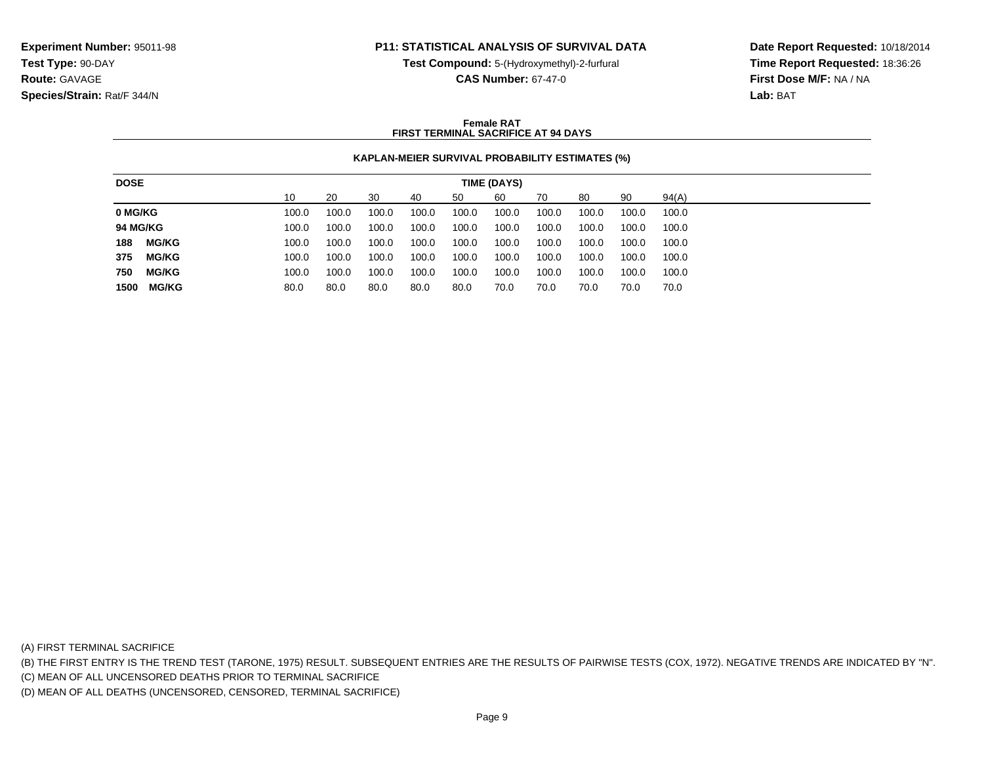**Test Compound:** 5-(Hydroxymethyl)-2-furfural

**CAS Number:** 67-47-0

**Date Report Requested:** 10/18/2014**Time Report Requested:** 18:36:26**First Dose M/F:** NA / NA**Lab:** BAT

### **Female RATFIRST TERMINAL SACRIFICE AT 94 DAYS**

## **KAPLAN-MEIER SURVIVAL PROBABILITY ESTIMATES (%)**

| 10<br>90<br>94(A)<br>20<br>30<br>60<br>50<br>80<br>40<br>70                                                   |
|---------------------------------------------------------------------------------------------------------------|
| 0 MG/KG<br>100.0<br>100.0<br>100.0<br>100.0<br>100.0<br>100.0<br>100.0<br>100.0<br>100.0<br>100.0             |
| <b>94 MG/KG</b><br>100.0<br>100.0<br>100.0<br>100.0<br>100.0<br>100.0<br>100.0<br>100.0<br>100.0<br>100.0     |
| <b>MG/KG</b><br>188<br>100.0<br>100.0<br>100.0<br>100.0<br>100.0<br>100.0<br>100.0<br>100.0<br>100.0<br>100.0 |
| <b>MG/KG</b><br>375<br>100.0<br>100.0<br>100.0<br>100.0<br>100.0<br>100.0<br>100.0<br>100.0<br>100.0<br>100.0 |
| 750<br><b>MG/KG</b><br>100.0<br>100.0<br>100.0<br>100.0<br>100.0<br>100.0<br>100.0<br>100.0<br>100.0<br>100.0 |
| <b>MG/KG</b><br>80.0<br>1500<br>80.0<br>80.0<br>80.0<br>70.0<br>70.0<br>70.0<br>80.0<br>70.0<br>70.0          |

(A) FIRST TERMINAL SACRIFICE

(B) THE FIRST ENTRY IS THE TREND TEST (TARONE, 1975) RESULT. SUBSEQUENT ENTRIES ARE THE RESULTS OF PAIRWISE TESTS (COX, 1972). NEGATIVE TRENDS ARE INDICATED BY "N".

(C) MEAN OF ALL UNCENSORED DEATHS PRIOR TO TERMINAL SACRIFICE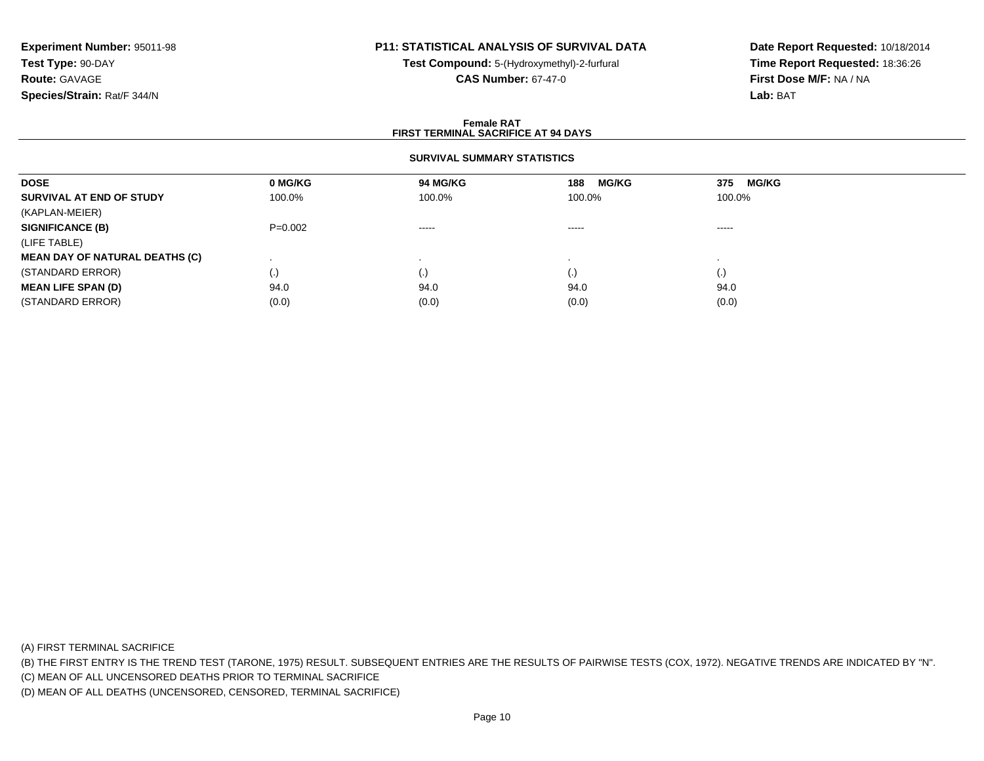# **P11: STATISTICAL ANALYSIS OF SURVIVAL DATA**

**Test Compound:** 5-(Hydroxymethyl)-2-furfural **CAS Number:** 67-47-0

**Date Report Requested:** 10/18/2014**Time Report Requested:** 18:36:26**First Dose M/F:** NA / NA**Lab:** BAT

### **Female RATFIRST TERMINAL SACRIFICE AT 94 DAYS**

### **SURVIVAL SUMMARY STATISTICS**

| <b>DOSE</b>                           | 0 MG/KG   | 94 MG/KG    | <b>MG/KG</b><br>188 | <b>MG/KG</b><br>375 |  |
|---------------------------------------|-----------|-------------|---------------------|---------------------|--|
| SURVIVAL AT END OF STUDY              | 100.0%    | 100.0%      | 100.0%              | 100.0%              |  |
| (KAPLAN-MEIER)                        |           |             |                     |                     |  |
| <b>SIGNIFICANCE (B)</b>               | $P=0.002$ | $- - - - -$ | $\cdots$            | $- - - - -$         |  |
| (LIFE TABLE)                          |           |             |                     |                     |  |
| <b>MEAN DAY OF NATURAL DEATHS (C)</b> |           |             |                     |                     |  |
| (STANDARD ERROR)                      | (.)       | $\cdot$ ,   | $\left( . \right)$  | $\left( . \right)$  |  |
| <b>MEAN LIFE SPAN (D)</b>             | 94.0      | 94.0        | 94.0                | 94.0                |  |
| (STANDARD ERROR)                      | (0.0)     | (0.0)       | (0.0)               | (0.0)               |  |

(A) FIRST TERMINAL SACRIFICE

(B) THE FIRST ENTRY IS THE TREND TEST (TARONE, 1975) RESULT. SUBSEQUENT ENTRIES ARE THE RESULTS OF PAIRWISE TESTS (COX, 1972). NEGATIVE TRENDS ARE INDICATED BY "N".

(C) MEAN OF ALL UNCENSORED DEATHS PRIOR TO TERMINAL SACRIFICE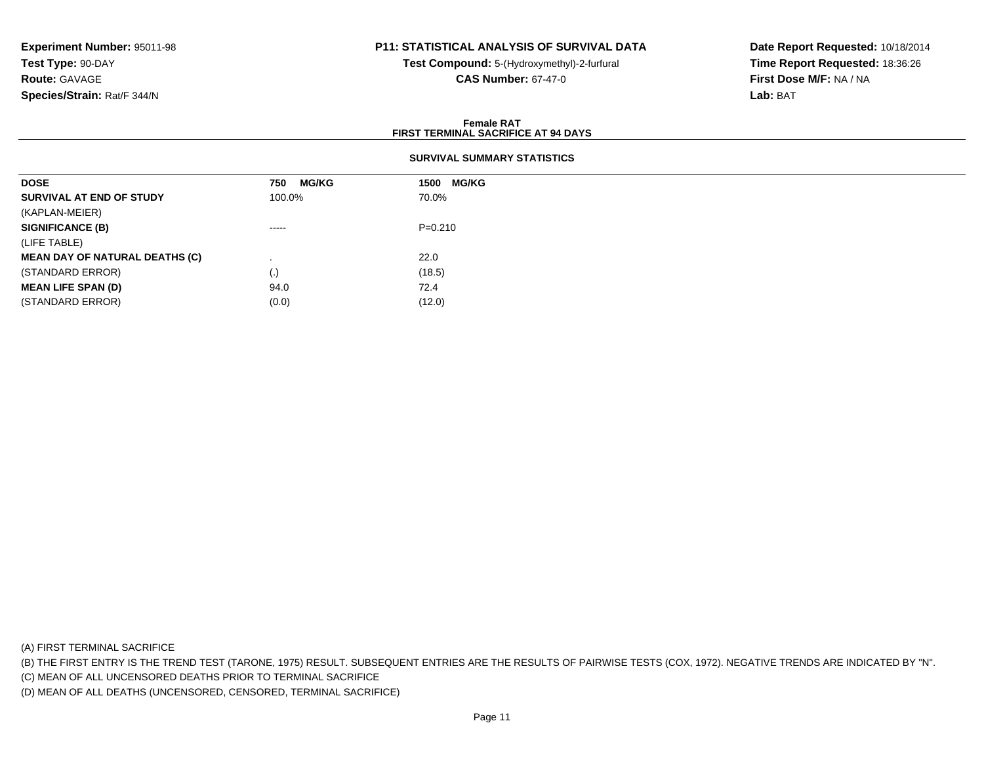# **P11: STATISTICAL ANALYSIS OF SURVIVAL DATA**

**Test Compound:** 5-(Hydroxymethyl)-2-furfural **CAS Number:** 67-47-0

**Date Report Requested:** 10/18/2014**Time Report Requested:** 18:36:26**First Dose M/F:** NA / NA**Lab:** BAT

### **Female RATFIRST TERMINAL SACRIFICE AT 94 DAYS**

## **SURVIVAL SUMMARY STATISTICS**

| <b>DOSE</b>                           | <b>MG/KG</b><br>750                                                                                                                                                                                                                                                                                                                                                                                                                                                                    | <b>MG/KG</b><br>1500 |
|---------------------------------------|----------------------------------------------------------------------------------------------------------------------------------------------------------------------------------------------------------------------------------------------------------------------------------------------------------------------------------------------------------------------------------------------------------------------------------------------------------------------------------------|----------------------|
| SURVIVAL AT END OF STUDY              | 100.0%                                                                                                                                                                                                                                                                                                                                                                                                                                                                                 | 70.0%                |
| (KAPLAN-MEIER)                        |                                                                                                                                                                                                                                                                                                                                                                                                                                                                                        |                      |
| <b>SIGNIFICANCE (B)</b>               | $\begin{array}{cccccccccccccc} \multicolumn{2}{c}{} & \multicolumn{2}{c}{} & \multicolumn{2}{c}{} & \multicolumn{2}{c}{} & \multicolumn{2}{c}{} & \multicolumn{2}{c}{} & \multicolumn{2}{c}{} & \multicolumn{2}{c}{} & \multicolumn{2}{c}{} & \multicolumn{2}{c}{} & \multicolumn{2}{c}{} & \multicolumn{2}{c}{} & \multicolumn{2}{c}{} & \multicolumn{2}{c}{} & \multicolumn{2}{c}{} & \multicolumn{2}{c}{} & \multicolumn{2}{c}{} & \multicolumn{2}{c}{} & \multicolumn{2}{c}{} & \$ | $P=0.210$            |
| (LIFE TABLE)                          |                                                                                                                                                                                                                                                                                                                                                                                                                                                                                        |                      |
| <b>MEAN DAY OF NATURAL DEATHS (C)</b> |                                                                                                                                                                                                                                                                                                                                                                                                                                                                                        | 22.0                 |
| (STANDARD ERROR)                      | $\left( . \right)$                                                                                                                                                                                                                                                                                                                                                                                                                                                                     | (18.5)               |
| <b>MEAN LIFE SPAN (D)</b>             | 94.0                                                                                                                                                                                                                                                                                                                                                                                                                                                                                   | 72.4                 |
| (STANDARD ERROR)                      | (0.0)                                                                                                                                                                                                                                                                                                                                                                                                                                                                                  | (12.0)               |

(A) FIRST TERMINAL SACRIFICE

(B) THE FIRST ENTRY IS THE TREND TEST (TARONE, 1975) RESULT. SUBSEQUENT ENTRIES ARE THE RESULTS OF PAIRWISE TESTS (COX, 1972). NEGATIVE TRENDS ARE INDICATED BY "N".

(C) MEAN OF ALL UNCENSORED DEATHS PRIOR TO TERMINAL SACRIFICE